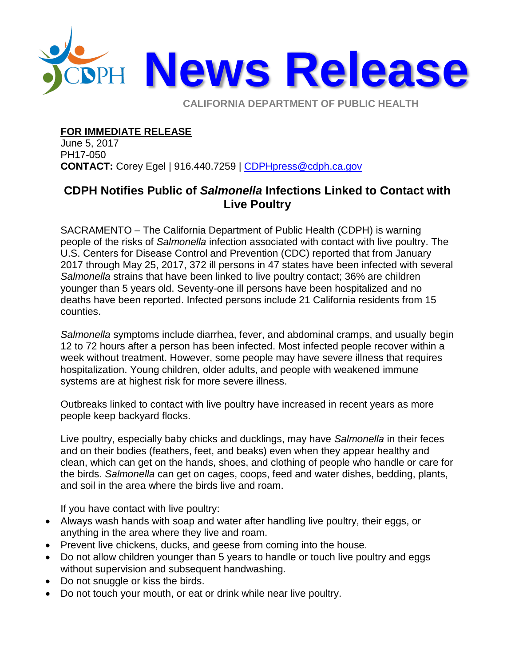

**CALIFORNIA DEPARTMENT OF PUBLIC HEALTH** 

## **FOR IMMEDIATE RELEASE**

June 5, 2017 PH17-050 **CONTACT:** Corey Egel | 916.440.7259 | [CDPHpress@cdph.ca.gov](mailto:CDPHpress@cdph.ca.gov)

## **CDPH Notifies Public of** *Salmonella* **Infections Linked to Contact with Live Poultry**

SACRAMENTO – The California Department of Public Health (CDPH) is warning people of the risks of *Salmonella* infection associated with contact with live poultry. The U.S. Centers for Disease Control and Prevention (CDC) reported that from January 2017 through May 25, 2017, 372 ill persons in 47 states have been infected with several *Salmonella* strains that have been linked to live poultry contact; 36% are children younger than 5 years old. Seventy-one ill persons have been hospitalized and no deaths have been reported. Infected persons include 21 California residents from 15 counties.

*Salmonella* symptoms include diarrhea, fever, and abdominal cramps, and usually begin 12 to 72 hours after a person has been infected. Most infected people recover within a week without treatment. However, some people may have severe illness that requires hospitalization. Young children, older adults, and people with weakened immune systems are at highest risk for more severe illness.

Outbreaks linked to contact with live poultry have increased in recent years as more people keep backyard flocks.

Live poultry, especially baby chicks and ducklings, may have *Salmonella* in their feces and on their bodies (feathers, feet, and beaks) even when they appear healthy and clean, which can get on the hands, shoes, and clothing of people who handle or care for the birds. *Salmonella* can get on cages, coops, feed and water dishes, bedding, plants, and soil in the area where the birds live and roam.

If you have contact with live poultry:

- Always wash hands with soap and water after handling live poultry, their eggs, or anything in the area where they live and roam.
- Prevent live chickens, ducks, and geese from coming into the house.
- Do not allow children younger than 5 years to handle or touch live poultry and eggs without supervision and subsequent handwashing.
- Do not snuggle or kiss the birds.
- Do not touch your mouth, or eat or drink while near live poultry.